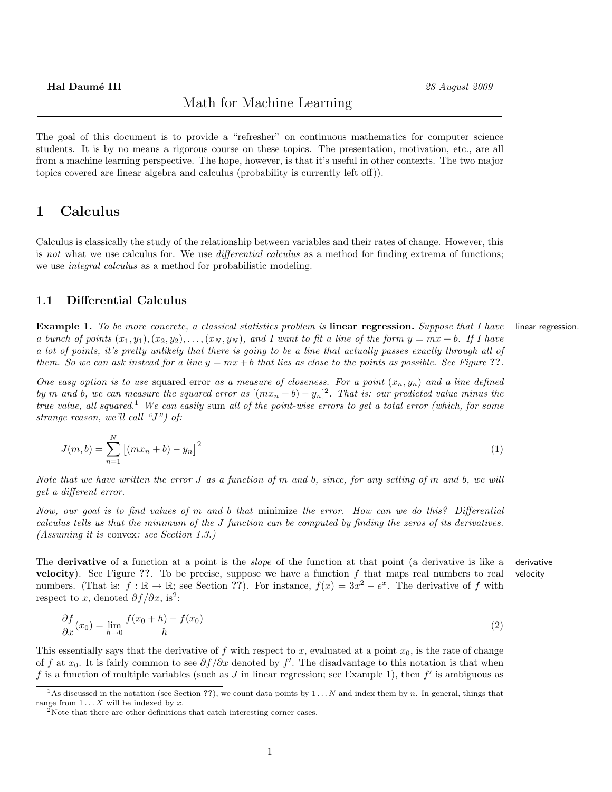Hal Daumé III 28 August 2009

# Math for Machine Learning

The goal of this document is to provide a "refresher" on continuous mathematics for computer science students. It is by no means a rigorous course on these topics. The presentation, motivation, etc., are all from a machine learning perspective. The hope, however, is that it's useful in other contexts. The two major topics covered are linear algebra and calculus (probability is currently left off)).

# 1 Calculus

Calculus is classically the study of the relationship between variables and their rates of change. However, this is not what we use calculus for. We use *differential calculus* as a method for finding extrema of functions; we use *integral calculus* as a method for probabilistic modeling.

## 1.1 Differential Calculus

Example 1. To be more concrete, a classical statistics problem is linear regression. Suppose that I have linear regression. a bunch of points  $(x_1, y_1), (x_2, y_2), \ldots, (x_N, y_N)$ , and I want to fit a line of the form  $y = mx + b$ . If I have a lot of points, it's pretty unlikely that there is going to be a line that actually passes exactly through all of them. So we can ask instead for a line  $y = mx + b$  that lies as close to the points as possible. See Figure ??.

One easy option is to use squared error as a measure of closeness. For a point  $(x_n, y_n)$  and a line defined by m and b, we can measure the squared error as  $[(mx_n + b) - y_n]^2$ . That is: our predicted value minus the true value, all squared.<sup>1</sup> We can easily sum all of the point-wise errors to get a total error (which, for some strange reason, we'll call "J") of:

$$
J(m,b) = \sum_{n=1}^{N} [(mx_n + b) - y_n]^2
$$
 (1)

Note that we have written the error  $J$  as a function of m and b, since, for any setting of m and b, we will get a different error.

Now, our goal is to find values of m and b that minimize the error. How can we do this? Differential calculus tells us that the minimum of the J function can be computed by finding the zeros of its derivatives. (Assuming it is convex: see Section 1.3.)

The **derivative** of a function at a point is the *slope* of the function at that point (a derivative is like a derivative **velocity**). See Figure ??. To be precise, suppose we have a function  $f$  that maps real numbers to real velocity numbers. (That is:  $f : \mathbb{R} \to \mathbb{R}$ ; see Section ??). For instance,  $f(x) = 3x^2 - e^x$ . The derivative of f with respect to x, denoted  $\partial f/\partial x$ , is<sup>2</sup>:

$$
\frac{\partial f}{\partial x}(x_0) = \lim_{h \to 0} \frac{f(x_0 + h) - f(x_0)}{h} \tag{2}
$$

This essentially says that the derivative of f with respect to x, evaluated at a point  $x_0$ , is the rate of change of f at  $x_0$ . It is fairly common to see  $\partial f/\partial x$  denoted by f'. The disadvantage to this notation is that when f is a function of multiple variables (such as J in linear regression; see Example 1), then  $f'$  is ambiguous as

<sup>&</sup>lt;sup>1</sup>As discussed in the notation (see Section ??), we count data points by  $1 \dots N$  and index them by n. In general, things that range from  $1 \dots X$  will be indexed by x.

<sup>&</sup>lt;sup>2</sup>Note that there are other definitions that catch interesting corner cases.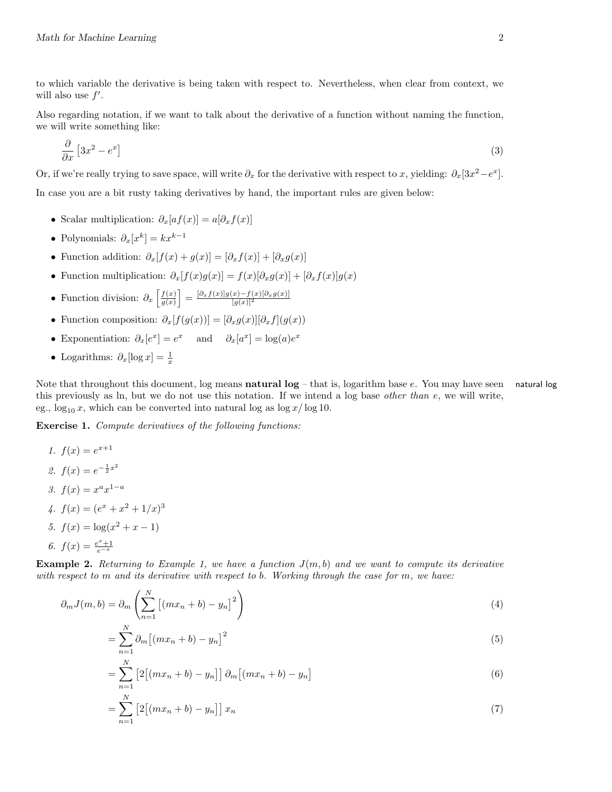to which variable the derivative is being taken with respect to. Nevertheless, when clear from context, we will also use  $f'$ .

Also regarding notation, if we want to talk about the derivative of a function without naming the function, we will write something like:

$$
\frac{\partial}{\partial x} \left[ 3x^2 - e^x \right] \tag{3}
$$

Or, if we're really trying to save space, will write  $\partial_x$  for the derivative with respect to x, yielding:  $\partial_x[3x^2-e^x]$ .

In case you are a bit rusty taking derivatives by hand, the important rules are given below:

- Scalar multiplication:  $\partial_x[a f(x)] = a[\partial_x f(x)]$
- Polynomials:  $\partial_x[x^k] = kx^{k-1}$
- Function addition:  $\partial_x[f(x) + g(x)] = [\partial_x f(x)] + [\partial_x g(x)]$
- Function multiplication:  $\partial_x[f(x)g(x)] = f(x)[\partial_x g(x)] + [\partial_x f(x)]g(x)$
- Function division:  $\partial_x \left[ \frac{f(x)}{g(x)} \right]$  $\left[\frac{f(x)}{g(x)}\right] = \frac{\left[\partial_x f(x)\right]g(x)-f(x)\left[\partial_x g(x)\right]}{[g(x)]^2}$
- Function composition:  $\partial_x[f(q(x))] = [\partial_x g(x)][\partial_x f](q(x))$
- Exponentiation:  $\partial_x[e^x] = e^x$  and  $\partial_x[a^x] = \log(a)e^x$
- Logarithms:  $\partial_x[\log x] = \frac{1}{x}$

Note that throughout this document, log means **natural log** – that is, logarithm base e. You may have seen natural log this previously as ln, but we do not use this notation. If we intend a log base other than e, we will write, eg.,  $\log_{10} x$ , which can be converted into natural log as  $\log x / \log 10$ .

Exercise 1. Compute derivatives of the following functions:

1. 
$$
f(x) = e^{x+1}
$$
  
\n2.  $f(x) = e^{-\frac{1}{2}x^2}$   
\n3.  $f(x) = x^a x^{1-a}$   
\n4.  $f(x) = (e^x + x^2 + 1/x)^3$   
\n5.  $f(x) = \log(x^2 + x - 1)$   
\n6.  $f(x) = \frac{e^x + 1}{e^{-x}}$ 

**Example 2.** Returning to Example 1, we have a function  $J(m, b)$  and we want to compute its derivative with respect to  $m$  and its derivative with respect to  $b$ . Working through the case for  $m$ , we have:

$$
\partial_m J(m, b) = \partial_m \left( \sum_{n=1}^N \left[ (mx_n + b) - y_n \right]^2 \right) \tag{4}
$$

$$
=\sum_{n=1}^{N}\partial_{m}\left[\left(mx_{n}+b\right)-y_{n}\right]^{2}\tag{5}
$$

$$
=\sum_{n=1}^{N}\left[2\left[(mx_n+b)-y_n\right]\right]\partial_m\left[(mx_n+b)-y_n\right]
$$
\n(6)

$$
=\sum_{n=1}^{N}\left[2\left[(mx_n+b)-y_n\right]\right]x_n\tag{7}
$$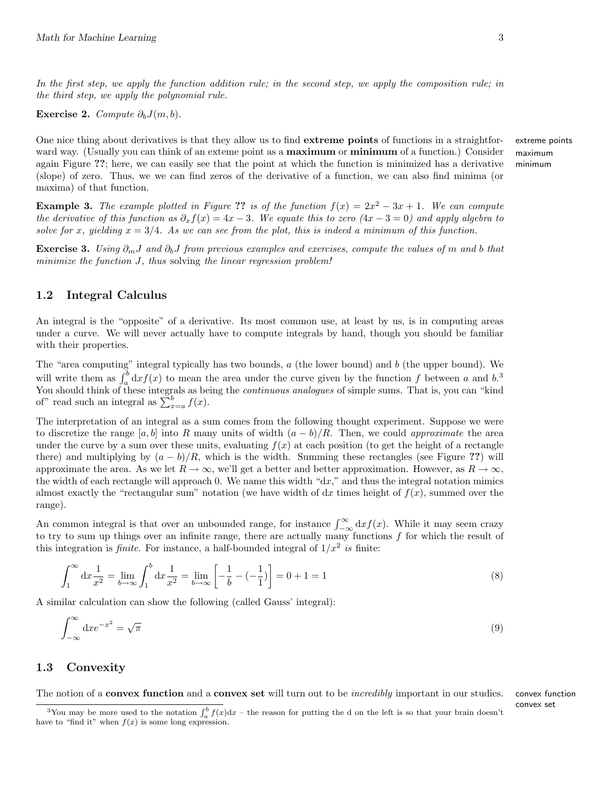In the first step, we apply the function addition rule; in the second step, we apply the composition rule; in the third step, we apply the polynomial rule.

Exercise 2. Compute  $\partial_b J(m, b)$ .

One nice thing about derivatives is that they allow us to find extreme points of functions in a straightfor- extreme points ward way. (Usually you can think of an exteme point as a **maximum** or **minimum** of a function.) Consider maximum again Figure ??; here, we can easily see that the point at which the function is minimized has a derivative minimum (slope) of zero. Thus, we we can find zeros of the derivative of a function, we can also find minima (or maxima) of that function.

**Example 3.** The example plotted in Figure ?? is of the function  $f(x) = 2x^2 - 3x + 1$ . We can compute the derivative of this function as  $\partial_x f(x) = 4x - 3$ . We equate this to zero  $(4x - 3 = 0)$  and apply algebra to solve for x, yielding  $x = 3/4$ . As we can see from the plot, this is indeed a minimum of this function.

Exercise 3. Using  $\partial_m J$  and  $\partial_b J$  from previous examples and exercises, compute the values of m and b that minimize the function  $J$ , thus solving the linear regression problem!

### 1.2 Integral Calculus

An integral is the "opposite" of a derivative. Its most common use, at least by us, is in computing areas under a curve. We will never actually have to compute integrals by hand, though you should be familiar with their properties.

The "area computing" integral typically has two bounds, a (the lower bound) and b (the upper bound). We will write them as  $\int_a^b dx f(x)$  to mean the area under the curve given by the function f between a and b.<sup>3</sup> You should think of these integrals as being the *continuous analogues* of simple sums. That is, you can "kind" of" read such an integral as  $\sum_{x=a}^{b} f(x)$ .

The interpretation of an integral as a sum comes from the following thought experiment. Suppose we were to discretize the range [a, b] into R many units of width  $(a - b)/R$ . Then, we could approximate the area under the curve by a sum over these units, evaluating  $f(x)$  at each position (to get the height of a rectangle there) and multiplying by  $(a - b)/R$ , which is the width. Summing these rectangles (see Figure ??) will approximate the area. As we let  $R \to \infty$ , we'll get a better and better approximation. However, as  $R \to \infty$ , the width of each rectangle will approach 0. We name this width "dx," and thus the integral notation mimics almost exactly the "rectangular sum" notation (we have width of  $dx$  times height of  $f(x)$ , summed over the range).

An common integral is that over an unbounded range, for instance  $\int_{-\infty}^{\infty} dx f(x)$ . While it may seem crazy to try to sum up things over an infinite range, there are actually many functions  $f$  for which the result of this integration is *finite*. For instance, a half-bounded integral of  $1/x^2$  is finite:

$$
\int_{1}^{\infty} dx \frac{1}{x^{2}} = \lim_{b \to \infty} \int_{1}^{b} dx \frac{1}{x^{2}} = \lim_{b \to \infty} \left[ -\frac{1}{b} - (-\frac{1}{1}) \right] = 0 + 1 = 1
$$
\n(8)

A similar calculation can show the following (called Gauss' integral):

$$
\int_{-\infty}^{\infty} \mathrm{d}x e^{-x^2} = \sqrt{\pi} \tag{9}
$$

#### 1.3 Convexity

The notion of a convex function and a convex set will turn out to be *incredibly* important in our studies. convex function

convex set

<sup>&</sup>lt;sup>3</sup>You may be more used to the notation  $\int_a^b f(x)dx$  – the reason for putting the d on the left is so that your brain doesn't have to "find it" when  $f(x)$  is some long expression.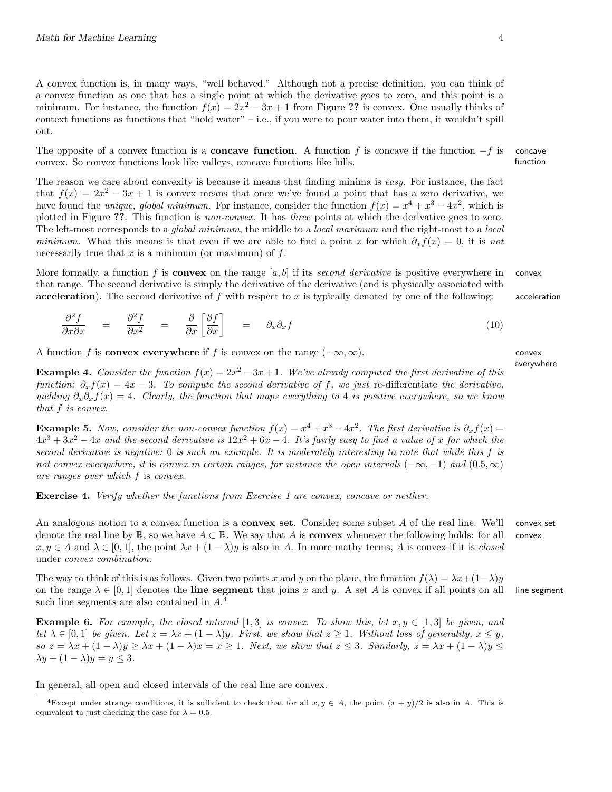A convex function is, in many ways, "well behaved." Although not a precise definition, you can think of a convex function as one that has a single point at which the derivative goes to zero, and this point is a minimum. For instance, the function  $f(x) = 2x^2 - 3x + 1$  from Figure ?? is convex. One usually thinks of context functions as functions that "hold water" – i.e., if you were to pour water into them, it wouldn't spill out.

The opposite of a convex function is a **concave function**. A function f is concave if the function  $-f$  is concave convex. So convex functions look like valleys, concave functions like hills. function

The reason we care about convexity is because it means that finding minima is easy. For instance, the fact that  $f(x) = 2x^2 - 3x + 1$  is convex means that once we've found a point that has a zero derivative, we have found the *unique, global minimum*. For instance, consider the function  $f(x) = x^4 + x^3 - 4x^2$ , which is plotted in Figure ??. This function is non-convex. It has three points at which the derivative goes to zero. The left-most corresponds to a *global minimum*, the middle to a *local maximum* and the right-most to a *local* minimum. What this means is that even if we are able to find a point x for which  $\partial_x f(x) = 0$ , it is not necessarily true that  $x$  is a minimum (or maximum) of  $f$ .

More formally, a function f is **convex** on the range  $[a, b]$  if its second derivative is positive everywhere in convex that range. The second derivative is simply the derivative of the derivative (and is physically associated with acceleration). The second derivative of f with respect to x is typically denoted by one of the following: acceleration

$$
\frac{\partial^2 f}{\partial x \partial x} = \frac{\partial^2 f}{\partial x^2} = \frac{\partial}{\partial x} \left[ \frac{\partial f}{\partial x} \right] = \partial_x \partial_x f \tag{10}
$$

A function f is **convex everywhere** if f is convex on the range  $(-\infty, \infty)$ . convex

**Example 4.** Consider the function  $f(x) = 2x^2 - 3x + 1$ . We've already computed the first derivative of this function:  $\partial_x f(x) = 4x - 3$ . To compute the second derivative of f, we just re-differentiate the derivative, yielding  $\partial_x \partial_x f(x) = 4$ . Clearly, the function that maps everything to 4 is positive everywhere, so we know that f is convex.

**Example 5.** Now, consider the non-convex function  $f(x) = x^4 + x^3 - 4x^2$ . The first derivative is  $\partial_x f(x) =$  $4x^3 + 3x^2 - 4x$  and the second derivative is  $12x^2 + 6x - 4$ . It's fairly easy to find a value of x for which the second derivative is negative: 0 is such an example. It is moderately interesting to note that while this f is not convex everywhere, it is convex in certain ranges, for instance the open intervals  $(-\infty, -1)$  and  $(0.5, \infty)$ are ranges over which f is convex.

Exercise 4. Verify whether the functions from Exercise 1 are convex, concave or neither.

An analogous notion to a convex function is a **convex set**. Consider some subset  $A$  of the real line. We'll convex set denote the real line by R, so we have  $A \subset \mathbb{R}$ . We say that A is **convex** whenever the following holds: for all convex  $x, y \in A$  and  $\lambda \in [0, 1]$ , the point  $\lambda x + (1 - \lambda)y$  is also in A. In more mathy terms, A is convex if it is *closed* under convex combination.

The way to think of this is as follows. Given two points x and y on the plane, the function  $f(\lambda) = \lambda x + (1-\lambda)y$ on the range  $\lambda \in [0, 1]$  denotes the **line segment** that joins x and y. A set A is convex if all points on all line segment such line segments are also contained in  $A<sup>4</sup>$ 

**Example 6.** For example, the closed interval [1,3] is convex. To show this, let  $x, y \in [1,3]$  be given, and let  $\lambda \in [0,1]$  be given. Let  $z = \lambda x + (1 - \lambda)y$ . First, we show that  $z \geq 1$ . Without loss of generality,  $x \leq y$ ,  $\delta s \circ z = \lambda x + (1 - \lambda)y \geq \lambda x + (1 - \lambda)x = x \geq 1$ . Next, we show that  $z \leq 3$ . Similarly,  $z = \lambda x + (1 - \lambda)y \leq \lambda$  $\lambda y + (1 - \lambda)y = y \leq 3.$ 

In general, all open and closed intervals of the real line are convex.

everywhere

<sup>&</sup>lt;sup>4</sup>Except under strange conditions, it is sufficient to check that for all  $x, y \in A$ , the point  $(x + y)/2$  is also in A. This is equivalent to just checking the case for  $\lambda = 0.5$ .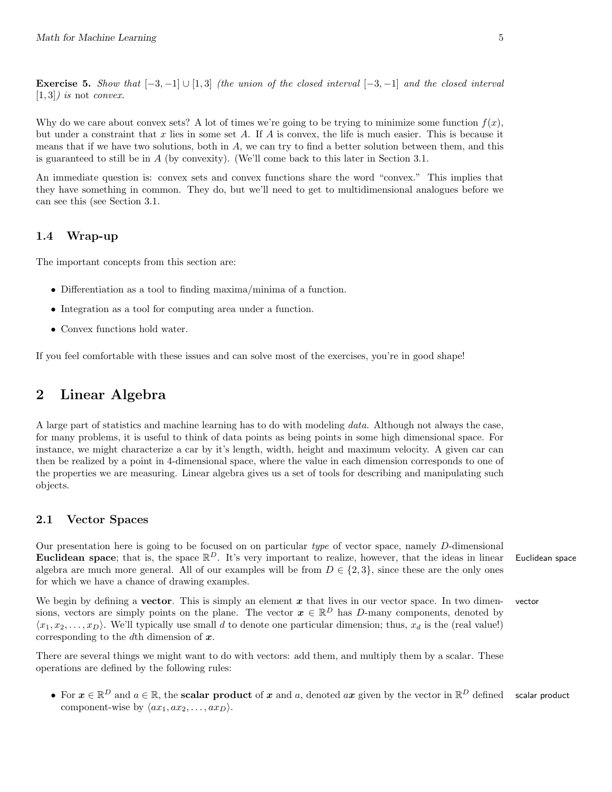**Exercise 5.** Show that  $[-3, -1] \cup [1, 3]$  (the union of the closed interval  $[-3, -1]$  and the closed interval  $[1, 3]$ ) is not *convex*.

Why do we care about convex sets? A lot of times we're going to be trying to minimize some function  $f(x)$ , but under a constraint that x lies in some set A. If A is convex, the life is much easier. This is because it means that if we have two solutions, both in A, we can try to find a better solution between them, and this is guaranteed to still be in  $A$  (by convexity). (We'll come back to this later in Section 3.1.

An immediate question is: convex sets and convex functions share the word "convex." This implies that they have something in common. They do, but we'll need to get to multidimensional analogues before we can see this (see Section 3.1.

#### 1.4 Wrap-up

The important concepts from this section are:

- Differentiation as a tool to finding maxima/minima of a function.
- Integration as a tool for computing area under a function.
- Convex functions hold water.

If you feel comfortable with these issues and can solve most of the exercises, you're in good shape!

# 2 Linear Algebra

A large part of statistics and machine learning has to do with modeling data. Although not always the case, for many problems, it is useful to think of data points as being points in some high dimensional space. For instance, we might characterize a car by it's length, width, height and maximum velocity. A given car can then be realized by a point in 4-dimensional space, where the value in each dimension corresponds to one of the properties we are measuring. Linear algebra gives us a set of tools for describing and manipulating such objects.

#### 2.1 Vector Spaces

Our presentation here is going to be focused on on particular type of vector space, namely D-dimensional Euclidean space; that is, the space  $\mathbb{R}^D$ . It's very important to realize, however, that the ideas in linear Euclidean space algebra are much more general. All of our examples will be from  $D \in \{2,3\}$ , since these are the only ones for which we have a chance of drawing examples.

We begin by defining a **vector**. This is simply an element  $x$  that lives in our vector space. In two dimen-vector sions, vectors are simply points on the plane. The vector  $\boldsymbol{x} \in \mathbb{R}^D$  has D-many components, denoted by  $\langle x_1, x_2, \ldots, x_D \rangle$ . We'll typically use small d to denote one particular dimension; thus,  $x_d$  is the (real value!) corresponding to the dth dimension of  $x$ .

There are several things we might want to do with vectors: add them, and multiply them by a scalar. These operations are defined by the following rules:

• For  $x \in \mathbb{R}^D$  and  $a \in \mathbb{R}$ , the scalar product of x and a, denoted ax given by the vector in  $\mathbb{R}^D$  defined scalar product component-wise by  $\langle ax_1, ax_2, \ldots, ax_D \rangle$ .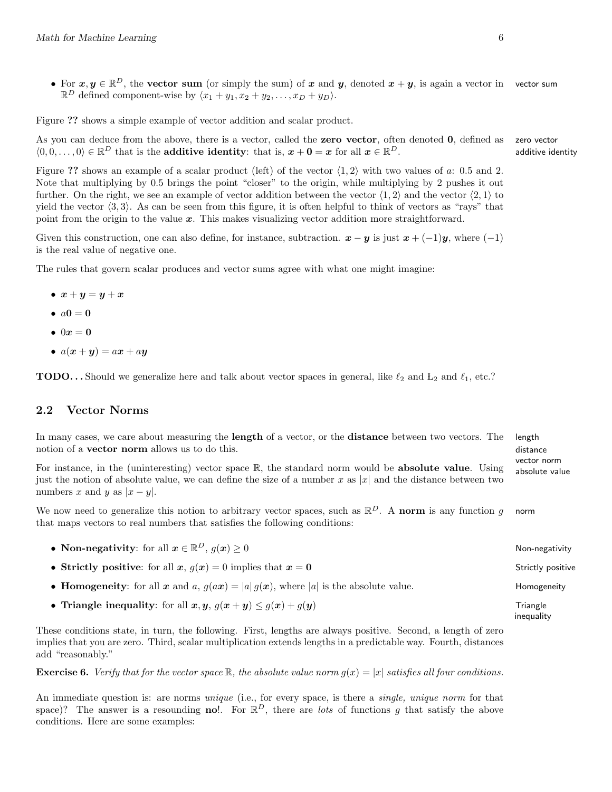• For  $x, y \in \mathbb{R}^D$ , the vector sum (or simply the sum) of x and y, denoted  $x + y$ , is again a vector in vector sum  $\mathbb{R}^D$  defined component-wise by  $\langle x_1 + y_1, x_2 + y_2, \ldots, x_D + y_D \rangle$ .

Figure ?? shows a simple example of vector addition and scalar product.

As you can deduce from the above, there is a vector, called the **zero vector**, often denoted  $\bf{0}$ , defined as zero vector  $\langle 0, 0, \ldots, 0 \rangle \in \mathbb{R}^D$  that is the **additive identity**: that is,  $x + 0 = x$  for all  $x \in \mathbb{R}$ additive identity

Figure ?? shows an example of a scalar product (left) of the vector  $\langle 1, 2 \rangle$  with two values of a: 0.5 and 2. Note that multiplying by 0.5 brings the point "closer" to the origin, while multiplying by 2 pushes it out further. On the right, we see an example of vector addition between the vector  $\langle 1, 2 \rangle$  and the vector  $\langle 2, 1 \rangle$  to yield the vector  $(3, 3)$ . As can be seen from this figure, it is often helpful to think of vectors as "rays" that point from the origin to the value  $x$ . This makes visualizing vector addition more straightforward.

Given this construction, one can also define, for instance, subtraction.  $x - y$  is just  $x + (-1)y$ , where  $(-1)$ is the real value of negative one.

The rules that govern scalar produces and vector sums agree with what one might imagine:

- $\bullet \ \ x+y=y+x$
- $a0 = 0$
- $\bullet$  0 $x=0$
- $a(x + y) = ax + ay$

**TODO...** Should we generalize here and talk about vector spaces in general, like  $\ell_2$  and  $L_2$  and  $\ell_1$ , etc.?

#### 2.2 Vector Norms

In many cases, we care about measuring the **length** of a vector, or the **distance** between two vectors. The length notion of a **vector norm** allows us to do this. distance

For instance, in the (uninteresting) vector space  $\mathbb{R}$ , the standard norm would be **absolute value**. Using absolute value just the notion of absolute value, we can define the size of a number x as |x| and the distance between two numbers x and y as  $|x-y|$ .

We now need to generalize this notion to arbitrary vector spaces, such as  $\mathbb{R}^D$ . A norm is any function g norm that maps vectors to real numbers that satisfies the following conditions:

• Non-negativity: for all  $x \in \mathbb{R}^D$ ,  $g(x) \ge 0$ • Strictly positive: for all  $x, g(x) = 0$  implies that  $x = 0$  Strictly positive • Homogeneity: for all x and a,  $g(ax) = |a| g(x)$ , where |a| is the absolute value. Homogeneity • Triangle inequality: for all  $x, y, g(x+y) \le g(x) + g(y)$  Triangle inequality

These conditions state, in turn, the following. First, lengths are always positive. Second, a length of zero implies that you are zero. Third, scalar multiplication extends lengths in a predictable way. Fourth, distances add "reasonably."

**Exercise 6.** Verify that for the vector space R, the absolute value norm  $q(x) = |x|$  satisfies all four conditions.

An immediate question is: are norms *unique* (i.e., for every space, is there a *single, unique norm* for that space)? The answer is a resounding no!. For  $\mathbb{R}^D$ , there are lots of functions g that satisfy the above conditions. Here are some examples:

vector norm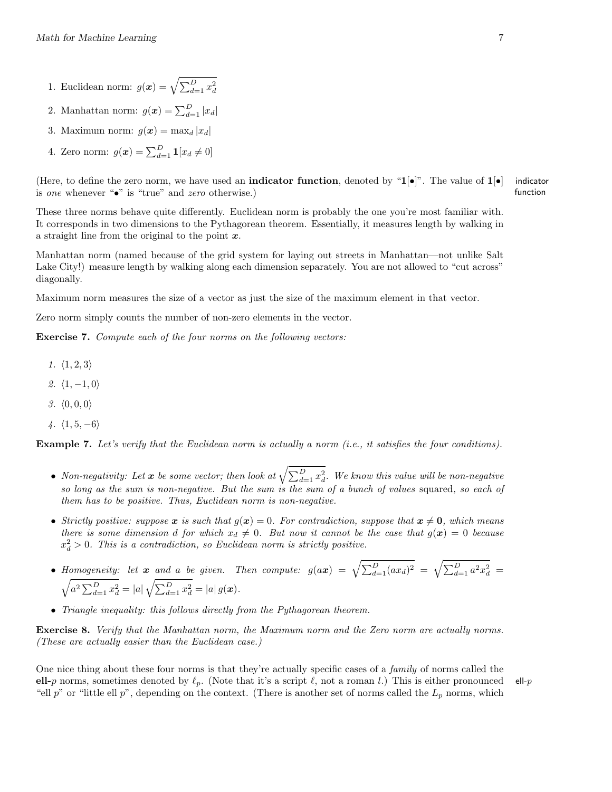- 1. Euclidean norm:  $g(\boldsymbol{x}) = \sqrt{\sum_{d=1}^{D} x_d^2}$
- 2. Manhattan norm:  $g(\boldsymbol{x}) = \sum_{d=1}^{D} |x_d|$
- 3. Maximum norm:  $g(\boldsymbol{x}) = \max_d |x_d|$
- 4. Zero norm:  $g(\boldsymbol{x}) = \sum_{d=1}^{D} \mathbf{1}[x_d \neq 0]$

(Here, to define the zero norm, we have used an **indicator function**, denoted by " $1[\bullet]$ ". The value of  $1[\bullet]$  indicator is one whenever "•" is "true" and zero otherwise.) function

These three norms behave quite differently. Euclidean norm is probably the one you're most familiar with. It corresponds in two dimensions to the Pythagorean theorem. Essentially, it measures length by walking in a straight line from the original to the point  $x$ .

Manhattan norm (named because of the grid system for laying out streets in Manhattan—not unlike Salt Lake City!) measure length by walking along each dimension separately. You are not allowed to "cut across" diagonally.

Maximum norm measures the size of a vector as just the size of the maximum element in that vector.

Zero norm simply counts the number of non-zero elements in the vector.

Exercise 7. Compute each of the four norms on the following vectors:

- 1.  $\langle 1, 2, 3 \rangle$
- 2.  $\langle 1, -1, 0 \rangle$
- 3.  $\langle 0, 0, 0 \rangle$
- 4.  $\langle 1, 5, -6 \rangle$

Example 7. Let's verify that the Euclidean norm is actually a norm (i.e., it satisfies the four conditions).

- Non-negativity: Let  $x$  be some vector; then look at  $\sqrt{\sum_{d=1}^D x_d^2}$ . We know this value will be non-negative so long as the sum is non-negative. But the sum is the sum of a bunch of values squared, so each of them has to be positive. Thus, Euclidean norm is non-negative.
- Strictly positive: suppose x is such that  $g(x) = 0$ . For contradiction, suppose that  $x \neq 0$ , which means there is some dimension d for which  $x_d \neq 0$ . But now it cannot be the case that  $g(x) = 0$  because  $x_d^2 > 0$ . This is a contradiction, so Euclidean norm is strictly positive.
- Homogeneity: let x and a be given. Then compute:  $g(ax) = \sqrt{\sum_{d=1}^{D} (ax_d)^2} = \sqrt{\sum_{d=1}^{D} a^2 x_d^2}$  $\sqrt{a^2 \sum_{d=1}^D x_d^2} = |a| \sqrt{\sum_{d=1}^D x_d^2} = |a| g(\mathbf{x}).$
- Triangle inequality: this follows directly from the Pythagorean theorem.

Exercise 8. Verify that the Manhattan norm, the Maximum norm and the Zero norm are actually norms. (These are actually easier than the Euclidean case.)

One nice thing about these four norms is that they're actually specific cases of a *family* of norms called the ell-p norms, sometimes denoted by  $\ell_p$ . (Note that it's a script  $\ell$ , not a roman l.) This is either pronounced ell-p "ell p" or "little ell p", depending on the context. (There is another set of norms called the  $L_p$  norms, which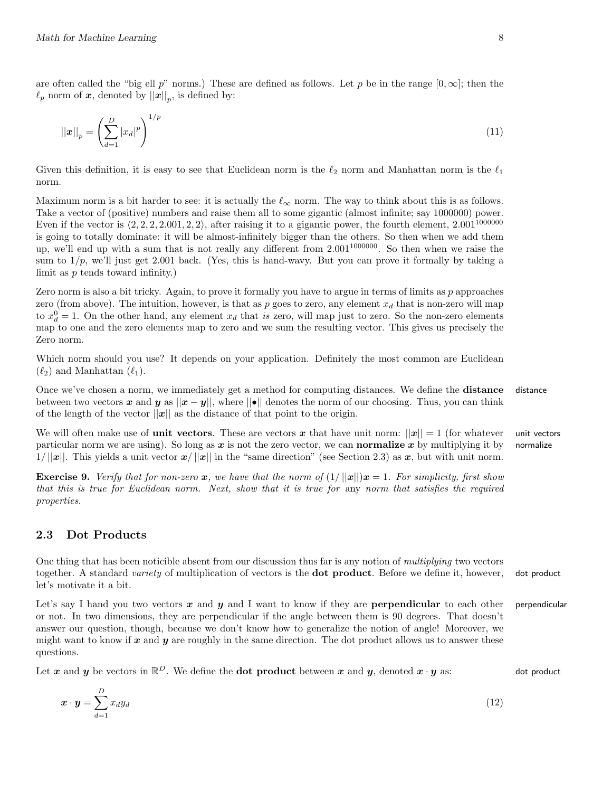are often called the "big ell p" norms.) These are defined as follows. Let p be in the range  $[0,\infty]$ ; then the  $\ell_p$  norm of  $\boldsymbol{x}$ , denoted by  $||\boldsymbol{x}||_p$ , is defined by:

$$
||x||_p = \left(\sum_{d=1}^D |x_d|^p\right)^{1/p} \tag{11}
$$

Given this definition, it is easy to see that Euclidean norm is the  $\ell_2$  norm and Manhattan norm is the  $\ell_1$ norm.

Maximum norm is a bit harder to see: it is actually the  $\ell_{\infty}$  norm. The way to think about this is as follows. Take a vector of (positive) numbers and raise them all to some gigantic (almost infinite; say 1000000) power. Even if the vector is  $\langle 2, 2, 2, 2.001, 2, 2 \rangle$ , after raising it to a gigantic power, the fourth element,  $2.001^{1000000}$ is going to totally dominate: it will be almost-infinitely bigger than the others. So then when we add them up, we'll end up with a sum that is not really any different from 2.001<sup>1000000</sup>. So then when we raise the sum to  $1/p$ , we'll just get 2.001 back. (Yes, this is hand-wavy. But you can prove it formally by taking a limit as p tends toward infinity.)

Zero norm is also a bit tricky. Again, to prove it formally you have to argue in terms of limits as  $p$  approaches zero (from above). The intuition, however, is that as p goes to zero, any element  $x_d$  that is non-zero will map to  $x_d^0 = 1$ . On the other hand, any element  $x_d$  that is zero, will map just to zero. So the non-zero elements map to one and the zero elements map to zero and we sum the resulting vector. This gives us precisely the Zero norm.

Which norm should you use? It depends on your application. Definitely the most common are Euclidean  $(\ell_2)$  and Manhattan  $(\ell_1)$ .

Once we've chosen a norm, we immediately get a method for computing distances. We define the **distance** distance between two vectors x and y as  $||x - y||$ , where  $||\bullet||$  denotes the norm of our choosing. Thus, you can think of the length of the vector  $||x||$  as the distance of that point to the origin.

We will often make use of **unit vectors**. These are vectors x that have unit norm:  $||x|| = 1$  (for whatever unit vectors particular norm we are using). So long as  $x$  is not the zero vector, we can **normalize** x by multiplying it by normalize  $1/||x||$ . This yields a unit vector  $x/||x||$  in the "same direction" (see Section 2.3) as x, but with unit norm.

**Exercise 9.** Verify that for non-zero x, we have that the norm of  $(1/||x||)x = 1$ . For simplicity, first show that this is true for Euclidean norm. Next, show that it is true for any norm that satisfies the required properties.

## 2.3 Dot Products

One thing that has been noticible absent from our discussion thus far is any notion of multiplying two vectors together. A standard variety of multiplication of vectors is the **dot product**. Before we define it, however, dot product let's motivate it a bit.

Let's say I hand you two vectors  $x$  and  $y$  and I want to know if they are **perpendicular** to each other perpendicular or not. In two dimensions, they are perpendicular if the angle between them is 90 degrees. That doesn't answer our question, though, because we don't know how to generalize the notion of angle! Moreover, we might want to know if  $x$  and  $y$  are roughly in the same direction. The dot product allows us to answer these questions.

Let  $x$  and  $y$  be vectors in  $\mathbb{R}^D$ . We define the **dot product** between  $x$  and  $y$ , denoted  $x \cdot y$  as: dot product

$$
\boldsymbol{x} \cdot \boldsymbol{y} = \sum_{d=1}^{D} x_d y_d \tag{12}
$$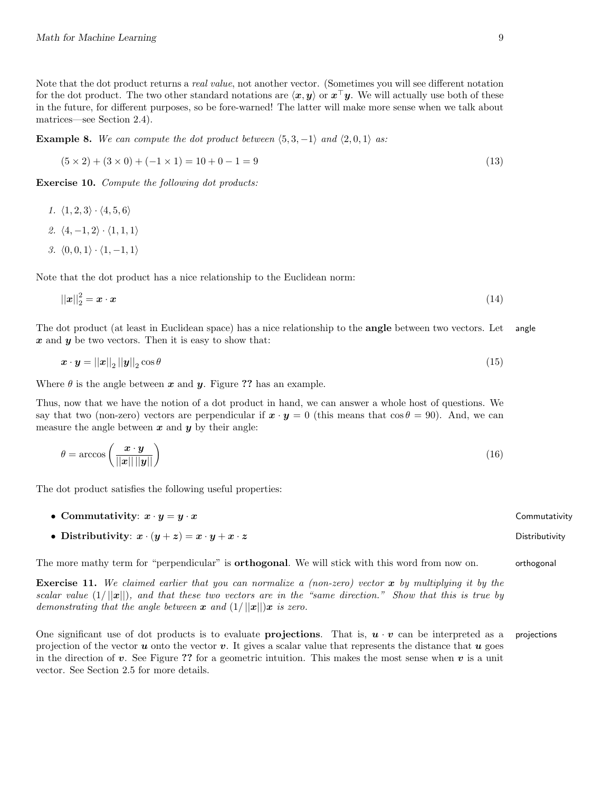**Example 8.** We can compute the dot product between  $\langle 5, 3, -1 \rangle$  and  $\langle 2, 0, 1 \rangle$  as:

$$
(5 \times 2) + (3 \times 0) + (-1 \times 1) = 10 + 0 - 1 = 9
$$
\n(13)

Exercise 10. Compute the following dot products:

- 1.  $\langle 1, 2, 3 \rangle \cdot \langle 4, 5, 6 \rangle$
- 2.  $\langle 4, -1, 2 \rangle \cdot \langle 1, 1, 1 \rangle$
- 3.  $\langle 0, 0, 1 \rangle \cdot \langle 1, -1, 1 \rangle$

Note that the dot product has a nice relationship to the Euclidean norm:

$$
\|\boldsymbol{x}\|_2^2 = \boldsymbol{x} \cdot \boldsymbol{x} \tag{14}
$$

The dot product (at least in Euclidean space) has a nice relationship to the **angle** between two vectors. Let angle  $x$  and  $y$  be two vectors. Then it is easy to show that:

$$
\boldsymbol{x} \cdot \boldsymbol{y} = ||\boldsymbol{x}||_2 ||\boldsymbol{y}||_2 \cos \theta \tag{15}
$$

Where  $\theta$  is the angle between x and y. Figure ?? has an example.

Thus, now that we have the notion of a dot product in hand, we can answer a whole host of questions. We say that two (non-zero) vectors are perpendicular if  $x \cdot y = 0$  (this means that  $\cos \theta = 90$ ). And, we can measure the angle between  $x$  and  $y$  by their angle:

$$
\theta = \arccos\left(\frac{\boldsymbol{x} \cdot \boldsymbol{y}}{||\boldsymbol{x}|| \, ||\boldsymbol{y}||}\right) \tag{16}
$$

The dot product satisfies the following useful properties:

- Commutativity:  $x \cdot y = y \cdot x$  Commutativity
- Distributivity:  $x \cdot (y + z) = x \cdot y + x \cdot z$  Distributivity

The more mathy term for "perpendicular" is **orthogonal**. We will stick with this word from now on. orthogonal

**Exercise 11.** We claimed earlier that you can normalize a (non-zero) vector  $\boldsymbol{x}$  by multiplying it by the scalar value  $(1/||x||)$ , and that these two vectors are in the "same direction." Show that this is true by demonstrating that the angle between  $\boldsymbol{x}$  and  $(1/||\boldsymbol{x}||)\boldsymbol{x}$  is zero.

One significant use of dot products is to evaluate **projections**. That is,  $u \cdot v$  can be interpreted as a projections projection of the vector u onto the vector v. It gives a scalar value that represents the distance that u goes in the direction of  $v$ . See Figure ?? for a geometric intuition. This makes the most sense when  $v$  is a unit vector. See Section 2.5 for more details.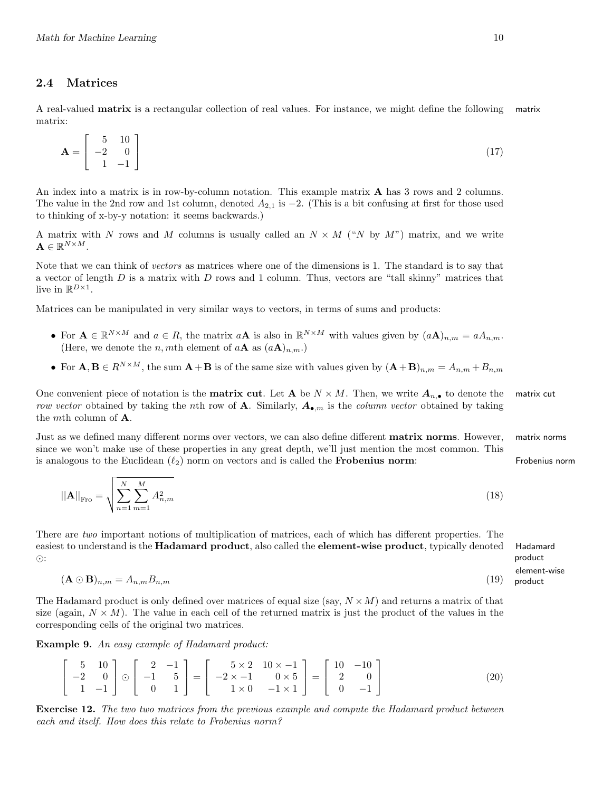## 2.4 Matrices

A real-valued matrix is a rectangular collection of real values. For instance, we might define the following matrix matrix:

$$
\mathbf{A} = \begin{bmatrix} 5 & 10 \\ -2 & 0 \\ 1 & -1 \end{bmatrix} \tag{17}
$$

An index into a matrix is in row-by-column notation. This example matrix A has 3 rows and 2 columns. The value in the 2nd row and 1st column, denoted  $A_{2,1}$  is  $-2$ . (This is a bit confusing at first for those used to thinking of x-by-y notation: it seems backwards.)

A matrix with N rows and M columns is usually called an  $N \times M$  ("N by M") matrix, and we write  $\mathbf{A} \in \mathbb{R}^{N \times M}$  .

Note that we can think of vectors as matrices where one of the dimensions is 1. The standard is to say that a vector of length  $D$  is a matrix with  $D$  rows and 1 column. Thus, vectors are "tall skinny" matrices that live in  $\mathbb{R}^{D\times 1}$ .

Matrices can be manipulated in very similar ways to vectors, in terms of sums and products:

- For  $\mathbf{A} \in \mathbb{R}^{N \times M}$  and  $a \in R$ , the matrix  $a\mathbf{A}$  is also in  $\mathbb{R}^{N \times M}$  with values given by  $(a\mathbf{A})_{n,m} = aA_{n,m}$ . (Here, we denote the *n*, *m*th element of  $a\mathbf{A}$  as  $(a\mathbf{A})_{n,m}$ .)
- For  $\mathbf{A}, \mathbf{B} \in R^{N \times M}$ , the sum  $\mathbf{A} + \mathbf{B}$  is of the same size with values given by  $(\mathbf{A} + \mathbf{B})_{n,m} = A_{n,m} + B_{n,m}$

One convenient piece of notation is the **matrix cut**. Let **A** be  $N \times M$ . Then, we write  $A_{n,\bullet}$  to denote the matrix cut row vector obtained by taking the nth row of **A**. Similarly,  $A_{\bullet,m}$  is the *column vector* obtained by taking the mth column of A.

Just as we defined many different norms over vectors, we can also define different **matrix norms**. However, matrix norms since we won't make use of these properties in any great depth, we'll just mention the most common. This is analogous to the Euclidean  $(\ell_2)$  norm on vectors and is called the **Frobenius norm**: Frobenius norm

$$
||\mathbf{A}||_{\text{Fro}} = \sqrt{\sum_{n=1}^{N} \sum_{m=1}^{M} A_{n,m}^2}
$$
 (18)

There are two important notions of multiplication of matrices, each of which has different properties. The easiest to understand is the Hadamard product, also called the element-wise product, typically denoted Hadamard  $\odot$ :

 $(\mathbf{A} \odot \mathbf{B})_{n,m} = A_{n,m} B_{n,m}$  (19)

The Hadamard product is only defined over matrices of equal size (say,  $N \times M$ ) and returns a matrix of that size (again,  $N \times M$ ). The value in each cell of the returned matrix is just the product of the values in the corresponding cells of the original two matrices.

Example 9. An easy example of Hadamard product:

$$
\begin{bmatrix} 5 & 10 \ -2 & 0 \ 1 & -1 \end{bmatrix} \odot \begin{bmatrix} 2 & -1 \ -1 & 5 \ 0 & 1 \end{bmatrix} = \begin{bmatrix} 5 \times 2 & 10 \times -1 \ -2 \times -1 & 0 \times 5 \ 1 \times 0 & -1 \times 1 \end{bmatrix} = \begin{bmatrix} 10 & -10 \ 2 & 0 \ 0 & -1 \end{bmatrix}
$$
(20)

Exercise 12. The two two matrices from the previous example and compute the Hadamard product between each and itself. How does this relate to Frobenius norm?

product element-wise product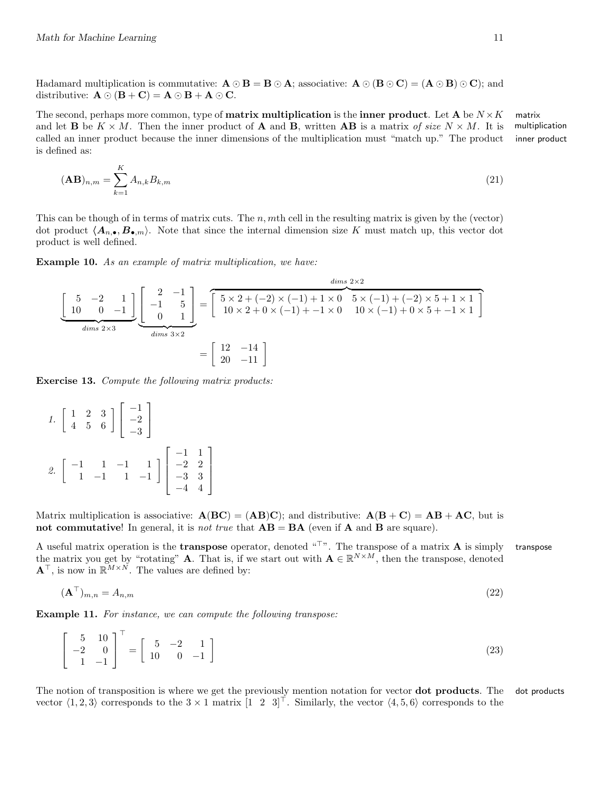Hadamard multiplication is commutative:  $\mathbf{A} \odot \mathbf{B} = \mathbf{B} \odot \mathbf{A}$ ; associative:  $\mathbf{A} \odot (\mathbf{B} \odot \mathbf{C}) = (\mathbf{A} \odot \mathbf{B}) \odot \mathbf{C}$ ; and distributive:  $\mathbf{A} \odot (\mathbf{B} + \mathbf{C}) = \mathbf{A} \odot \mathbf{B} + \mathbf{A} \odot \mathbf{C}$ .

The second, perhaps more common, type of **matrix multiplication** is the **inner product**. Let **A** be  $N \times K$  matrix multiplication inner product and let **B** be  $K \times M$ . Then the inner product of **A** and **B**, written **AB** is a matrix of size  $N \times M$ . It is called an inner product because the inner dimensions of the multiplication must "match up." The product is defined as:

$$
(\mathbf{AB})_{n,m} = \sum_{k=1}^{K} A_{n,k} B_{k,m} \tag{21}
$$

This can be though of in terms of matrix cuts. The  $n$ ,  $m$ th cell in the resulting matrix is given by the (vector) dot product  $\langle A_{n,\bullet}, B_{\bullet,m}\rangle$ . Note that since the internal dimension size K must match up, this vector dot product is well defined.

Example 10. As an example of matrix multiplication, we have:

$$
\underbrace{\begin{bmatrix} 5 & -2 & 1 \\ 10 & 0 & -1 \end{bmatrix}}_{\text{dim } s \text{ 2} \times 3} \underbrace{\begin{bmatrix} 2 & -1 \\ -1 & 5 \\ 0 & 1 \end{bmatrix}}_{\text{dim } s \text{ 3} \times 2} = \begin{bmatrix} 5 \times 2 + (-2) \times (-1) + 1 \times 0 & 5 \times (-1) + (-2) \times 5 + 1 \times 1 \\ 10 \times 2 + 0 \times (-1) + -1 \times 0 & 10 \times (-1) + 0 \times 5 + -1 \times 1 \end{bmatrix}
$$

$$
= \begin{bmatrix} 12 & -14 \\ 20 & -11 \end{bmatrix}
$$

Exercise 13. Compute the following matrix products:

1. 
$$
\begin{bmatrix} 1 & 2 & 3 \\ 4 & 5 & 6 \end{bmatrix} \begin{bmatrix} -1 \\ -2 \\ -3 \end{bmatrix}
$$
  
2.  $\begin{bmatrix} -1 & 1 & -1 & 1 \\ 1 & -1 & 1 & -1 \end{bmatrix} \begin{bmatrix} -1 & 1 \\ -2 & 2 \\ -3 & 3 \\ -4 & 4 \end{bmatrix}$ 

Matrix multiplication is associative:  $\mathbf{A}(\mathbf{BC}) = (\mathbf{AB})\mathbf{C}$ ; and distributive:  $\mathbf{A}(\mathbf{B}+\mathbf{C}) = \mathbf{AB} + \mathbf{AC}$ , but is not commutative! In general, it is *not true* that  $\mathbf{AB} = \mathbf{BA}$  (even if  $\mathbf{A}$  and  $\mathbf{B}$  are square).

A useful matrix operation is the **transpose** operator, denoted  $\mathbf{u}^T$ . The transpose of a matrix **A** is simply transpose the matrix you get by "rotating" **A**. That is, if we start out with  $\mathbf{A} \in \mathbb{R}^{N \times M}$ , then the transpose, denoted  $\mathbf{A}^{\top}$ , is now in  $\mathbb{R}^{M \times N}$ . The values are defined by:

$$
(\mathbf{A}^{\top})_{m,n} = A_{n,m} \tag{22}
$$

Example 11. For instance, we can compute the following transpose:

$$
\begin{bmatrix} 5 & 10 \\ -2 & 0 \\ 1 & -1 \end{bmatrix}^{\top} = \begin{bmatrix} 5 & -2 & 1 \\ 10 & 0 & -1 \end{bmatrix}
$$
 (23)

The notion of transposition is where we get the previously mention notation for vector **dot products**. The dot products vector  $\langle 1, 2, 3 \rangle$  corresponds to the  $3 \times 1$  matrix  $\begin{bmatrix} 1 & 2 & 3 \end{bmatrix}^T$ . Similarly, the vector  $\langle 4, 5, 6 \rangle$  corresponds to the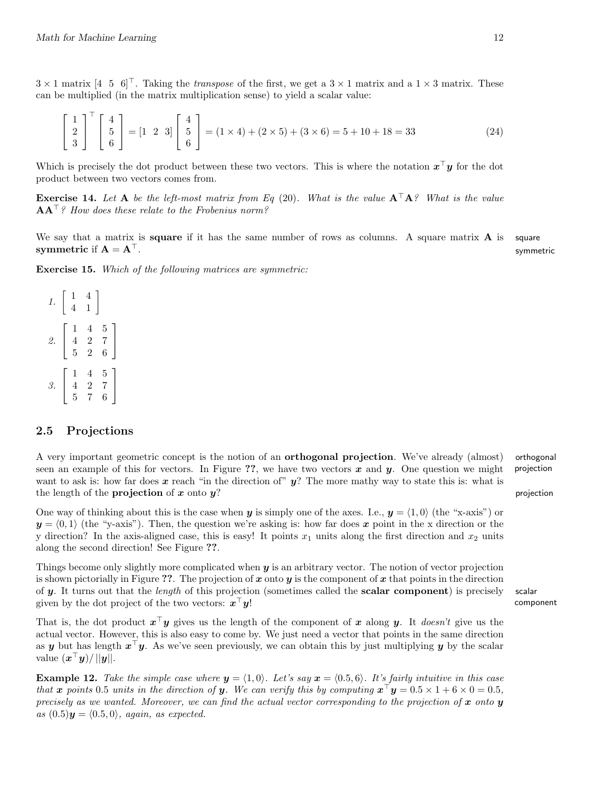$3 \times 1$  matrix  $\begin{bmatrix} 4 & 5 & 6 \end{bmatrix}^T$ . Taking the transpose of the first, we get a  $3 \times 1$  matrix and a  $1 \times 3$  matrix. These can be multiplied (in the matrix multiplication sense) to yield a scalar value:

$$
\begin{bmatrix} 1 \\ 2 \\ 3 \end{bmatrix}^{\top} \begin{bmatrix} 4 \\ 5 \\ 6 \end{bmatrix} = \begin{bmatrix} 1 & 2 & 3 \end{bmatrix} \begin{bmatrix} 4 \\ 5 \\ 6 \end{bmatrix} = (1 \times 4) + (2 \times 5) + (3 \times 6) = 5 + 10 + 18 = 33 \tag{24}
$$

Which is precisely the dot product between these two vectors. This is where the notation  $x^{\top}y$  for the dot product between two vectors comes from.

**Exercise 14.** Let A be the left-most matrix from Eq (20). What is the value  $A^{\top}A$ ? What is the value  $AA^{\top}$ ? How does these relate to the Frobenius norm?

We say that a matrix is **square** if it has the same number of rows as columns. A square matrix  $\bf{A}$  is square symmetric if  $A = A^{\perp}$ .

Exercise 15. Which of the following matrices are symmetric:

 $1. \left[ \begin{array}{cc} 1 & 4 \\ 4 & 1 \end{array} \right]$ 2.  $\lceil$  $\overline{1}$ 1 4 5 4 2 7 5 2 6 1  $\overline{1}$ 3.  $\lceil$  $\overline{1}$ 1 4 5 4 2 7 5 7 6 1  $\vert$ 

### 2.5 Projections

A very important geometric concept is the notion of an orthogonal projection. We've already (almost) orthogonal seen an example of this for vectors. In Figure ??, we have two vectors  $x$  and  $y$ . One question we might projection want to ask is: how far does x reach "in the direction of"  $y$ ? The more mathy way to state this is: what is the length of the **projection** of x onto  $y$ ? projection

One way of thinking about this is the case when y is simply one of the axes. I.e.,  $y = \langle 1, 0 \rangle$  (the "x-axis") or  $y = \langle 0, 1 \rangle$  (the "y-axis"). Then, the question we're asking is: how far does x point in the x direction or the y direction? In the axis-aligned case, this is easy! It points  $x_1$  units along the first direction and  $x_2$  units along the second direction! See Figure ??.

Things become only slightly more complicated when  $y$  is an arbitrary vector. The notion of vector projection is shown pictorially in Figure ??. The projection of x onto y is the component of x that points in the direction of  $\bf{y}$ . It turns out that the *length* of this projection (sometimes called the **scalar component**) is precisely scalar given by the dot project of the two vectors:  $\mathbf{x}^{\top} \mathbf{y}!$  ${}^{\top}\boldsymbol{y}!$  component

That is, the dot product  $x^{\top}y$  gives us the length of the component of x along y. It *doesn't* give us the actual vector. However, this is also easy to come by. We just need a vector that points in the same direction as y but has length  $x^{\top}y$ . As we've seen previously, we can obtain this by just multiplying y by the scalar value  $(\mathbf{x}^{\top}\mathbf{y})/||\mathbf{y}||.$ 

**Example 12.** Take the simple case where  $y = (1, 0)$ . Let's say  $x = (0.5, 6)$ . It's fairly intuitive in this case that x points 0.5 units in the direction of y. We can verify this by computing  $x^{\top}y = 0.5 \times 1 + 6 \times 0 = 0.5$ , precisely as we wanted. Moreover, we can find the actual vector corresponding to the projection of x onto y as  $(0.5)\mathbf{y} = (0.5, 0),$  again, as expected.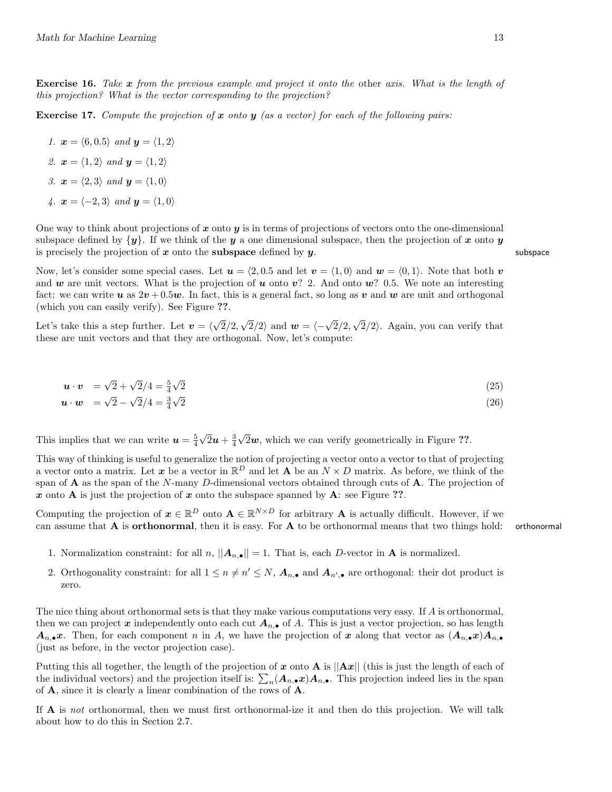Exercise 16. Take x from the previous example and project it onto the other axis. What is the length of this projection? What is the vector corresponding to the projection?

**Exercise 17.** Compute the projection of  $x$  onto  $y$  (as a vector) for each of the following pairs:

1.  $\mathbf{x} = \langle 6, 0.5 \rangle$  and  $\mathbf{y} = \langle 1, 2 \rangle$ 2.  $\mathbf{x} = \langle 1, 2 \rangle$  and  $\mathbf{y} = \langle 1, 2 \rangle$ 3.  $\mathbf{x} = \langle 2, 3 \rangle$  and  $\mathbf{y} = \langle 1, 0 \rangle$ 4.  $\mathbf{x} = \langle -2, 3 \rangle$  and  $\mathbf{y} = \langle 1, 0 \rangle$ 

One way to think about projections of x onto y is in terms of projections of vectors onto the one-dimensional subspace defined by  $\{y\}$ . If we think of the y a one dimensional subspace, then the projection of x onto y is precisely the projection of  $x$  onto the **subspace** defined by  $y$ . Subspace

Now, let's consider some special cases. Let  $u = \langle 2, 0.5 \rangle$  and let  $v = \langle 1, 0 \rangle$  and  $w = \langle 0, 1 \rangle$ . Note that both v and w are unit vectors. What is the projection of u onto  $v$ ? 2. And onto  $w$ ? 0.5. We note an interesting fact: we can write u as  $2v + 0.5w$ . In fact, this is a general fact, so long as v and w are unit and orthogonal (which you can easily verify). See Figure ??.

Let's take this a step further. Let  $v = \langle$ √  $2/2,$  $\sqrt{2}/2$  and  $\mathbf{w} = \langle -\sqrt{2}/2, \rangle$ √  $2/2$ . Again, you can verify that these are unit vectors and that they are orthogonal. Now, let's compute:

$$
\mathbf{u} \cdot \mathbf{v} = \sqrt{2} + \sqrt{2}/4 = \frac{5}{4}\sqrt{2} \tag{25}
$$

$$
\mathbf{u} \cdot \mathbf{w} = \sqrt{2} - \sqrt{2}/4 = \frac{3}{4}\sqrt{2} \tag{26}
$$

This implies that we can write  $u = \frac{5}{4}$ √  $\overline{2}u+\frac{3}{4}$ √  $2w$ , which we can verify geometrically in Figure ??.

This way of thinking is useful to generalize the notion of projecting a vector onto a vector to that of projecting a vector onto a matrix. Let x be a vector in  $\mathbb{R}^D$  and let A be an  $N \times D$  matrix. As before, we think of the span of  $\bf{A}$  as the span of the N-many D-dimensional vectors obtained through cuts of  $\bf{A}$ . The projection of x onto A is just the projection of x onto the subspace spanned by A: see Figure ??.

Computing the projection of  $x \in \mathbb{R}^D$  onto  $A \in \mathbb{R}^{N \times D}$  for arbitrary A is actually difficult. However, if we can assume that  $A$  is **orthonormal**, then it is easy. For  $A$  to be orthonormal means that two things hold: orthonormal

- 1. Normalization constraint: for all  $n, ||A_{n,\bullet}|| = 1$ . That is, each D-vector in **A** is normalized.
- 2. Orthogonality constraint: for all  $1 \le n \ne n' \le N$ ,  $A_{n,\bullet}$  and  $A_{n',\bullet}$  are orthogonal: their dot product is zero.

The nice thing about orthonormal sets is that they make various computations very easy. If A is orthonormal, then we can project x independently onto each cut  $A_{n,\bullet}$  of A. This is just a vector projection, so has length  $A_{n,\bullet}x$ . Then, for each component n in A, we have the projection of x along that vector as  $(A_{n,\bullet}x)A_{n,\bullet}$ (just as before, in the vector projection case).

Putting this all together, the length of the projection of x onto A is  $||Ax||$  (this is just the length of each of the individual vectors) and the projection itself is:  $\sum_n (A_{n,\bullet}x)A_{n,\bullet}$ . This projection indeed lies in the span of A, since it is clearly a linear combination of the rows of A.

If A is not orthonormal, then we must first orthonormal-ize it and then do this projection. We will talk about how to do this in Section 2.7.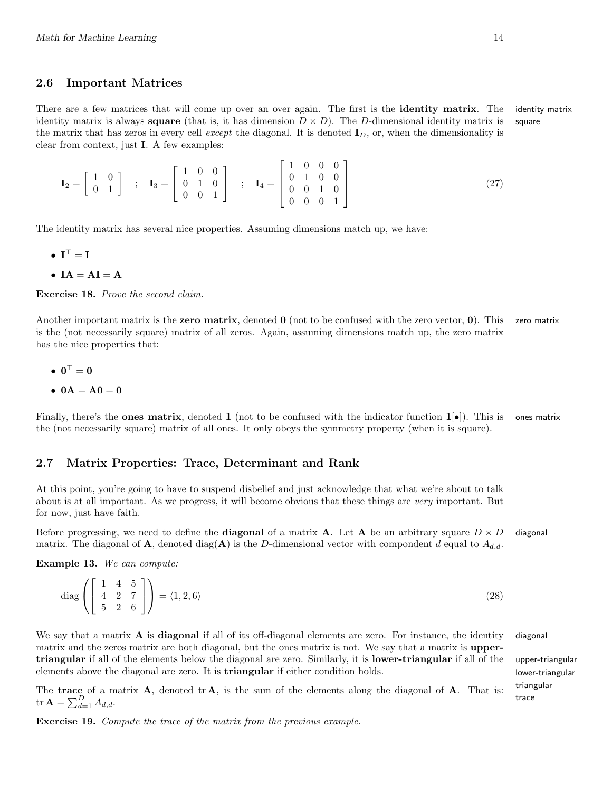#### 2.6 Important Matrices

There are a few matrices that will come up over an over again. The first is the **identity matrix**. The identity matrix identity matrix is always **square** (that is, it has dimension  $D \times D$ ). The D-dimensional identity matrix is square the matrix that has zeros in every cell *except* the diagonal. It is denoted  $I_D$ , or, when the dimensionality is clear from context, just I. A few examples:

$$
\mathbf{I}_2 = \begin{bmatrix} 1 & 0 \\ 0 & 1 \end{bmatrix} ; \quad \mathbf{I}_3 = \begin{bmatrix} 1 & 0 & 0 \\ 0 & 1 & 0 \\ 0 & 0 & 1 \end{bmatrix} ; \quad \mathbf{I}_4 = \begin{bmatrix} 1 & 0 & 0 & 0 \\ 0 & 1 & 0 & 0 \\ 0 & 0 & 1 & 0 \\ 0 & 0 & 0 & 1 \end{bmatrix}
$$
 (27)

The identity matrix has several nice properties. Assuming dimensions match up, we have:

- $I^{\top} = I$
- $IA = AI = A$

Exercise 18. Prove the second claim.

Another important matrix is the zero matrix, denoted  $\bf{0}$  (not to be confused with the zero vector,  $\bf{0}$ ). This zero matrix is the (not necessarily square) matrix of all zeros. Again, assuming dimensions match up, the zero matrix has the nice properties that:

- $\bullet$   $0^{\top} = 0$
- $0A = A0 = 0$

Finally, there's the **ones matrix**, denoted 1 (not to be confused with the indicator function  $1[\bullet]$ ). This is ones matrix the (not necessarily square) matrix of all ones. It only obeys the symmetry property (when it is square).

# 2.7 Matrix Properties: Trace, Determinant and Rank

At this point, you're going to have to suspend disbelief and just acknowledge that what we're about to talk about is at all important. As we progress, it will become obvious that these things are very important. But for now, just have faith.

Before progressing, we need to define the **diagonal** of a matrix **A**. Let **A** be an arbitrary square  $D \times D$  diagonal matrix. The diagonal of **A**, denoted diag(**A**) is the D-dimensional vector with compondent d equal to  $A_{d,d}$ .

Example 13. We can compute:

$$
\operatorname{diag}\left(\left[\begin{array}{cc} 1 & 4 & 5\\ 4 & 2 & 7\\ 5 & 2 & 6 \end{array}\right]\right) = \langle 1, 2, 6 \rangle\tag{28}
$$

We say that a matrix  $\bf{A}$  is **diagonal** if all of its off-diagonal elements are zero. For instance, the identity diagonal matrix and the zeros matrix are both diagonal, but the ones matrix is not. We say that a matrix is uppertriangular if all of the elements below the diagonal are zero. Similarly, it is lower-triangular if all of the upper-triangular elements above the diagonal are zero. It is **triangular** if either condition holds. lower-triangular

The trace of a matrix  $A$ , denoted tr $A$ , is the sum of the elements along the diagonal of  $A$ . That is: tr $A = \sum_{d=1}^{D} A_{d,d}$ .

Exercise 19. Compute the trace of the matrix from the previous example.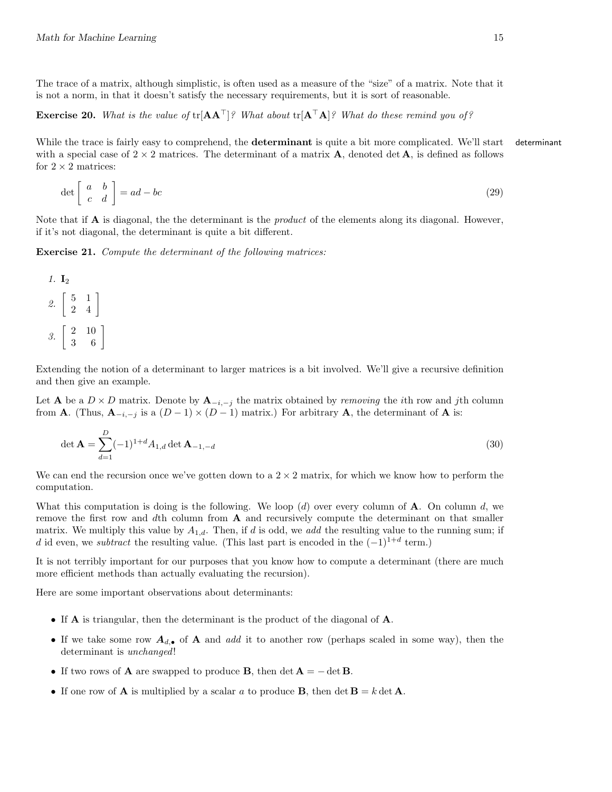The trace of a matrix, although simplistic, is often used as a measure of the "size" of a matrix. Note that it is not a norm, in that it doesn't satisfy the necessary requirements, but it is sort of reasonable.

**Exercise 20.** What is the value of  $tr[AA^{\top}]$ ? What about  $tr[A^{\top}A]$ ? What do these remind you of?

While the trace is fairly easy to comprehend, the **determinant** is quite a bit more complicated. We'll start determinant with a special case of  $2 \times 2$  matrices. The determinant of a matrix **A**, denoted det **A**, is defined as follows for  $2 \times 2$  matrices:

$$
\det \left[ \begin{array}{cc} a & b \\ c & d \end{array} \right] = ad - bc \tag{29}
$$

Note that if **A** is diagonal, the the determinant is the *product* of the elements along its diagonal. However, if it's not diagonal, the determinant is quite a bit different.

Exercise 21. Compute the determinant of the following matrices:

1. 
$$
\mathbf{I}_2
$$
\n2. 
$$
\begin{bmatrix} 5 & 1 \\ 2 & 4 \end{bmatrix}
$$
\n3. 
$$
\begin{bmatrix} 2 & 10 \\ 3 & 6 \end{bmatrix}
$$

Extending the notion of a determinant to larger matrices is a bit involved. We'll give a recursive definition and then give an example.

Let **A** be a  $D \times D$  matrix. Denote by  $A_{-i,-j}$  the matrix obtained by *removing* the *i*th row and *j*th column from **A**. (Thus,  $\mathbf{A}_{-i,-j}$  is a  $(D-1) \times (D-1)$  matrix.) For arbitrary **A**, the determinant of **A** is:

$$
\det \mathbf{A} = \sum_{d=1}^{D} (-1)^{1+d} A_{1,d} \det \mathbf{A}_{-1,-d}
$$
\n(30)

We can end the recursion once we've gotten down to a  $2 \times 2$  matrix, for which we know how to perform the computation.

What this computation is doing is the following. We loop  $(d)$  over every column of **A**. On column d, we remove the first row and dth column from  $A$  and recursively compute the determinant on that smaller matrix. We multiply this value by  $A_{1,d}$ . Then, if d is odd, we add the resulting value to the running sum; if d id even, we *subtract* the resulting value. (This last part is encoded in the  $(-1)^{1+d}$  term.)

It is not terribly important for our purposes that you know how to compute a determinant (there are much more efficient methods than actually evaluating the recursion).

Here are some important observations about determinants:

- If A is triangular, then the determinant is the product of the diagonal of A.
- If we take some row  $A_{d,\bullet}$  of A and add it to another row (perhaps scaled in some way), then the determinant is *unchanged*!
- If two rows of **A** are swapped to produce **B**, then det  $A = -\det B$ .
- If one row of **A** is multiplied by a scalar a to produce **B**, then det  $\mathbf{B} = k \det \mathbf{A}$ .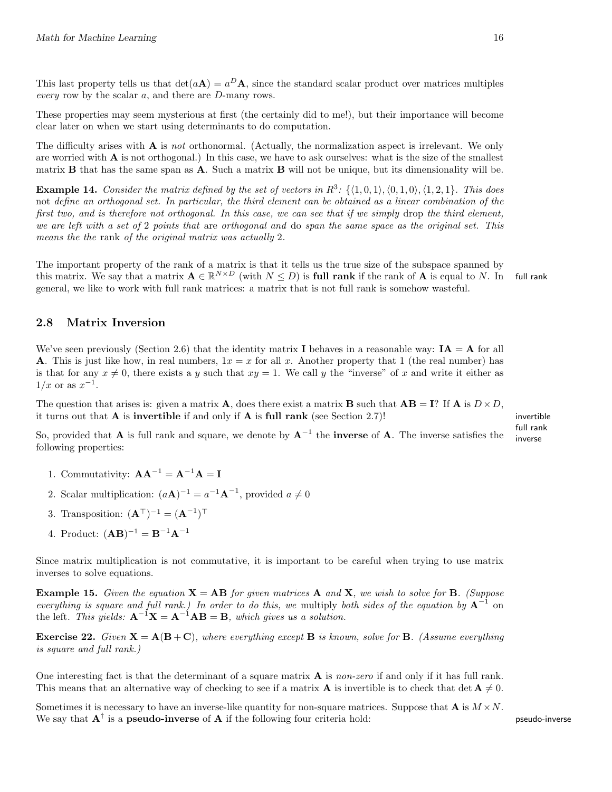This last property tells us that  $det(a\mathbf{A}) = a^D \mathbf{A}$ , since the standard scalar product over matrices multiples every row by the scalar a, and there are D-many rows.

These properties may seem mysterious at first (the certainly did to me!), but their importance will become clear later on when we start using determinants to do computation.

The difficulty arises with  $A$  is not orthonormal. (Actually, the normalization aspect is irrelevant. We only are worried with A is not orthogonal.) In this case, we have to ask ourselves: what is the size of the smallest matrix  $\bf{B}$  that has the same span as  $\bf{A}$ . Such a matrix  $\bf{B}$  will not be unique, but its dimensionality will be.

**Example 14.** Consider the matrix defined by the set of vectors in  $R^3$ :  $\{(1, 0, 1), (0, 1, 0), (1, 2, 1)\}$ . This does not define an orthogonal set. In particular, the third element can be obtained as a linear combination of the first two, and is therefore not orthogonal. In this case, we can see that if we simply drop the third element, we are left with a set of 2 points that are orthogonal and do span the same space as the original set. This means the the rank of the original matrix was actually 2.

The important property of the rank of a matrix is that it tells us the true size of the subspace spanned by this matrix. We say that a matrix  $\mathbf{A} \in \mathbb{R}^{N \times D}$  (with  $N \leq D$ ) is full rank if the rank of  $\mathbf{A}$  is equal to N. In full rank general, we like to work with full rank matrices: a matrix that is not full rank is somehow wasteful.

## 2.8 Matrix Inversion

We've seen previously (Section 2.6) that the identity matrix **I** behaves in a reasonable way:  $IA = A$  for all **A**. This is just like how, in real numbers,  $1x = x$  for all x. Another property that 1 (the real number) has is that for any  $x \neq 0$ , there exists a y such that  $xy = 1$ . We call y the "inverse" of x and write it either as  $1/x$  or as  $x^{-1}$ .

The question that arises is: given a matrix **A**, does there exist a matrix **B** such that  $AB = I$ ? If **A** is  $D \times D$ , it turns out that  $\bf{A}$  is **invertible** if and only if  $\bf{A}$  is **full rank** (see Section 2.7)! invertible

full rank

So, provided that **A** is full rank and square, we denote by  $A^{-1}$  the **inverse** of **A**. The inverse satisfies the inverse following properties:

- 1. Commutativity:  $\mathbf{A}\mathbf{A}^{-1} = \mathbf{A}^{-1}\mathbf{A} = \mathbf{I}$
- 2. Scalar multiplication:  $(a\mathbf{A})^{-1} = a^{-1}\mathbf{A}^{-1}$ , provided  $a \neq 0$
- 3. Transposition:  $(\mathbf{A}^{\top})^{-1} = (\mathbf{A}^{-1})^{\top}$
- 4. Product:  $(AB)^{-1} = B^{-1}A^{-1}$

Since matrix multiplication is not commutative, it is important to be careful when trying to use matrix inverses to solve equations.

**Example 15.** Given the equation  $X = AB$  for given matrices A and X, we wish to solve for B. (Suppose everything is square and full rank.) In order to do this, we multiply both sides of the equation by  $A^{-1}$  on the left. This yields:  $A^{-1}X = A^{-1}AB = B$ , which gives us a solution.

**Exercise 22.** Given  $X = A(B+C)$ , where everything except B is known, solve for B. (Assume everything is square and full rank.)

One interesting fact is that the determinant of a square matrix  $A$  is non-zero if and only if it has full rank. This means that an alternative way of checking to see if a matrix **A** is invertible is to check that det  $\mathbf{A} \neq 0$ .

Sometimes it is necessary to have an inverse-like quantity for non-square matrices. Suppose that  $\mathbf{A}$  is  $M \times N$ . We say that  $A^{\dagger}$  is a pseudo-inverse of A if the following four criteria hold: pseudo-inverse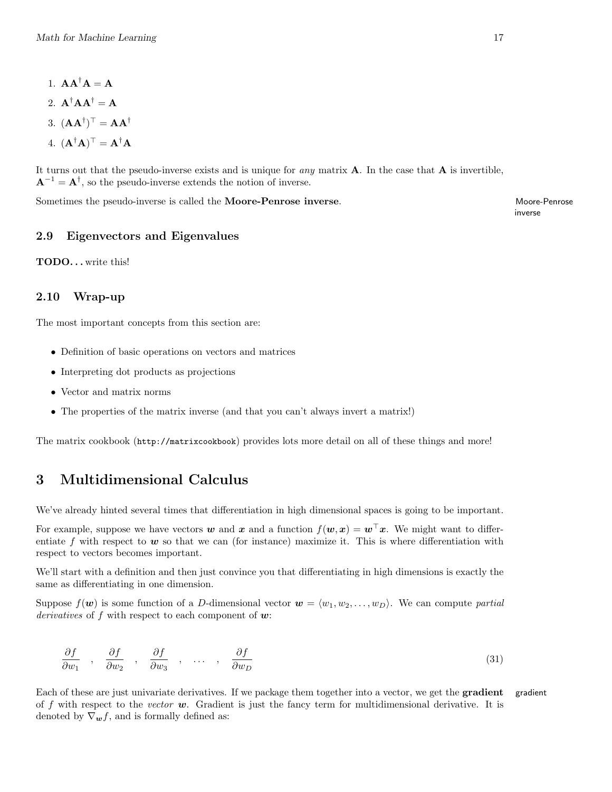- 1.  $AA^{\dagger}A = A$
- 2.  $\mathbf{A}^\dagger \mathbf{A} \mathbf{A}^\dagger = \mathbf{A}$
- 3.  $(AA^{\dagger})^{\top} = AA^{\dagger}$
- 4.  $(\mathbf{A}^{\dagger} \mathbf{A})^{\top} = \mathbf{A}^{\dagger} \mathbf{A}$

It turns out that the pseudo-inverse exists and is unique for *any* matrix  $\bf{A}$ . In the case that  $\bf{A}$  is invertible,  $A^{-1} = A^{\dagger}$ , so the pseudo-inverse extends the notion of inverse.

Sometimes the pseudo-inverse is called the **Moore-Penrose inverse**. Moore-Penrose inverse is called the **Moore-Penrose** inverse.

inverse

# 2.9 Eigenvectors and Eigenvalues

TODO. . . write this!

# 2.10 Wrap-up

The most important concepts from this section are:

- Definition of basic operations on vectors and matrices
- Interpreting dot products as projections
- Vector and matrix norms
- The properties of the matrix inverse (and that you can't always invert a matrix!)

The matrix cookbook (http://matrixcookbook) provides lots more detail on all of these things and more!

# 3 Multidimensional Calculus

We've already hinted several times that differentiation in high dimensional spaces is going to be important.

For example, suppose we have vectors w and x and a function  $f(w, x) = w^{\top}x$ . We might want to differentiate f with respect to  $w$  so that we can (for instance) maximize it. This is where differentiation with respect to vectors becomes important.

We'll start with a definition and then just convince you that differentiating in high dimensions is exactly the same as differentiating in one dimension.

Suppose  $f(\mathbf{w})$  is some function of a D-dimensional vector  $\mathbf{w} = \langle w_1, w_2, \dots, w_D \rangle$ . We can compute partial derivatives of f with respect to each component of  $w$ :

$$
\frac{\partial f}{\partial w_1} \quad , \quad \frac{\partial f}{\partial w_2} \quad , \quad \frac{\partial f}{\partial w_3} \quad , \quad \dots \quad , \quad \frac{\partial f}{\partial w_D} \tag{31}
$$

Each of these are just univariate derivatives. If we package them together into a vector, we get the **gradient** gradient of f with respect to the vector  $w$ . Gradient is just the fancy term for multidimensional derivative. It is denoted by  $\nabla_{\boldsymbol{w}} f$ , and is formally defined as: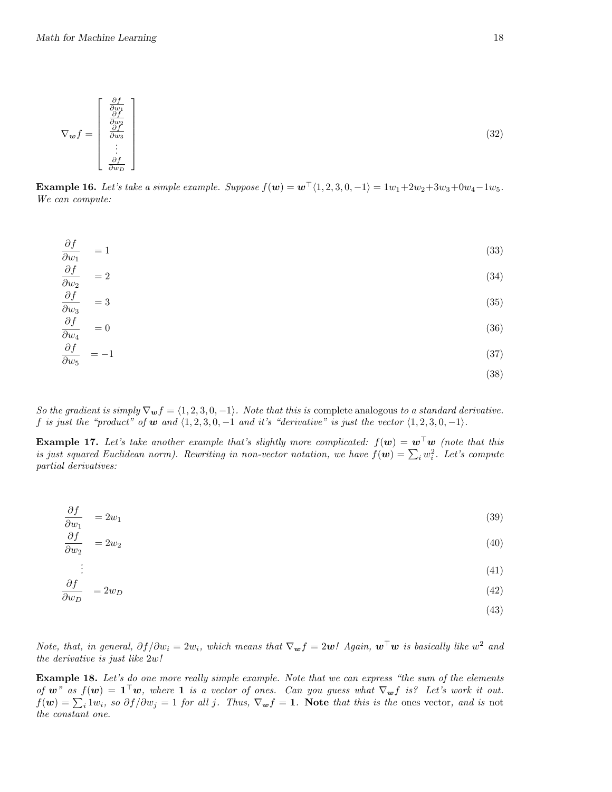$$
\nabla_{\boldsymbol{w}} f = \begin{bmatrix} \frac{\partial f}{\partial w_1} \\ \frac{\partial f}{\partial w_2} \\ \frac{\partial f}{\partial w_3} \\ \vdots \\ \frac{\partial f}{\partial w_D} \end{bmatrix}
$$
 (32)

**Example 16.** Let's take a simple example. Suppose  $f(w) = w^{\top}(1, 2, 3, 0, -1) = 1w_1 + 2w_2 + 3w_3 + 0w_4 - 1w_5$ . We can compute:

$$
\frac{\partial f}{\partial w_1} = 1 \tag{33}
$$

$$
\frac{\partial f}{\partial w_2} = 2\tag{34}
$$

$$
\frac{\partial f}{\partial x} = 3\tag{35}
$$

$$
\frac{\partial w_3}{\partial f} = 3 \tag{30}
$$

$$
\frac{\partial J}{\partial w_4} = 0 \tag{36}
$$

$$
\frac{\partial J}{\partial w_5} = -1 \tag{37}
$$

(38)

So the gradient is simply  $\nabla_{\mathbf{w}} f = \langle 1, 2, 3, 0, -1 \rangle$ . Note that this is complete analogous to a standard derivative. f is just the "product" of w and  $\langle 1, 2, 3, 0, -1 \rangle$  and it's "derivative" is just the vector  $\langle 1, 2, 3, 0, -1 \rangle$ .

**Example 17.** Let's take another example that's slightly more complicated:  $f(\mathbf{w}) = \mathbf{w}^\top \mathbf{w}$  (note that this is just squared Euclidean norm). Rewriting in non-vector notation, we have  $f(\mathbf{w}) = \sum_i w_i^2$ . Let's compute partial derivatives:

$$
\frac{\partial f}{\partial w_1} = 2w_1 \tag{39}
$$

$$
\frac{\partial f}{\partial w_2} = 2w_2 \tag{40}
$$

$$
\vdots \tag{41}
$$

$$
\frac{\partial f}{\partial w_D} = 2w_D \tag{42}
$$

$$
(43)
$$

Note, that, in general,  $\partial f/\partial w_i = 2w_i$ , which means that  $\nabla_{\bm{w}} f = 2\bm{w}!$  Again,  $\bm{w}^\top \bm{w}$  is basically like  $w^2$  and the derivative is just like 2w!

Example 18. Let's do one more really simple example. Note that we can express "the sum of the elements of w" as  $f(\mathbf{w}) = \mathbf{1}^\top \mathbf{w}$ , where **1** is a vector of ones. Can you guess what  $\nabla_{\mathbf{w}} f$  is? Let's work it out.  $f(\boldsymbol{w}) = \sum_i 1w_i$ , so  $\partial f/\partial w_j = 1$  for all j. Thus,  $\nabla_{\boldsymbol{w}} f = 1$ . Note that this is the ones vector, and is not the constant one.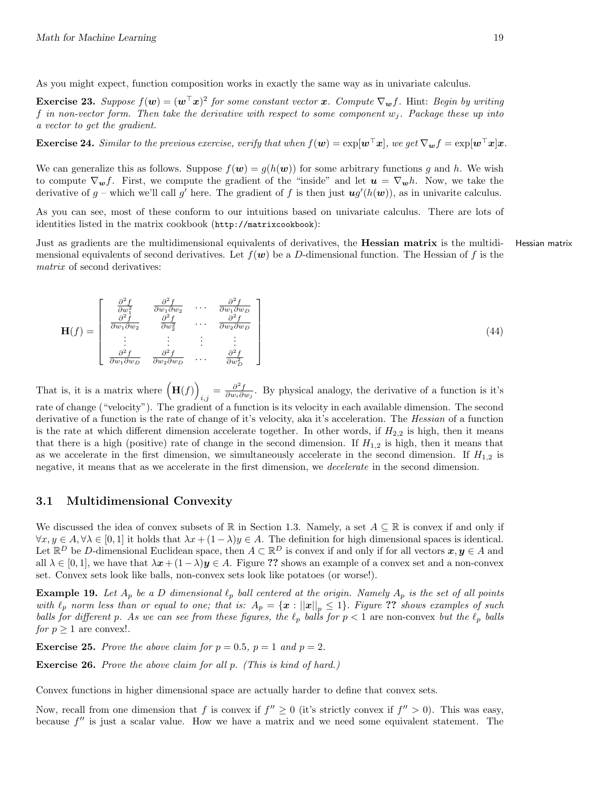As you might expect, function composition works in exactly the same way as in univariate calculus.

**Exercise 23.** Suppose  $f(\mathbf{w}) = (\mathbf{w}^{\top} \mathbf{x})^2$  for some constant vector  $\mathbf{x}$ . Compute  $\nabla_{\mathbf{w}} f$ . Hint: Begin by writing f in non-vector form. Then take the derivative with respect to some component  $w_i$ . Package these up into a vector to get the gradient.

**Exercise 24.** Similar to the previous exercise, verify that when  $f(\mathbf{w}) = \exp[\mathbf{w}^\top \mathbf{x}]$ , we get  $\nabla_{\mathbf{w}} f = \exp[\mathbf{w}^\top \mathbf{x}] \mathbf{x}$ .

We can generalize this as follows. Suppose  $f(w) = g(h(w))$  for some arbitrary functions q and h. We wish to compute  $\nabla_{\bm{w}} f$ . First, we compute the gradient of the "inside" and let  $\bm{u} = \nabla_{\bm{w}} h$ . Now, we take the derivative of  $g$  – which we'll call  $g'$  here. The gradient of f is then just  $\mathbf{u}g'(h(\mathbf{w}))$ , as in univarite calculus.

As you can see, most of these conform to our intuitions based on univariate calculus. There are lots of identities listed in the matrix cookbook (http://matrixcookbook):

Just as gradients are the multidimensional equivalents of derivatives, the Hessian matrix is the multidi- Hessian matrix mensional equivalents of second derivatives. Let  $f(w)$  be a D-dimensional function. The Hessian of f is the matrix of second derivatives:

$$
\mathbf{H}(f) = \begin{bmatrix} \frac{\partial^2 f}{\partial w_1^2} & \frac{\partial^2 f}{\partial w_1 \partial w_2} & \cdots & \frac{\partial^2 f}{\partial w_1 \partial w_D} \\ \frac{\partial^2 f}{\partial w_1 \partial w_2} & \frac{\partial^2 f}{\partial w_2^2} & \cdots & \frac{\partial^2 f}{\partial w_2 \partial w_D} \\ \vdots & \vdots & \ddots & \vdots \\ \frac{\partial^2 f}{\partial w_1 \partial w_D} & \frac{\partial^2 f}{\partial w_2 \partial w_D} & \cdots & \frac{\partial^2 f}{\partial w_D^2} \end{bmatrix}
$$
(44)

That is, it is a matrix where  $(H(f))$  $\frac{\partial^2 f}{\partial w_i \partial w_j}$ . By physical analogy, the derivative of a function is it's rate of change ("velocity"). The gradient of a function is its velocity in each available dimension. The second derivative of a function is the rate of change of it's velocity, aka it's acceleration. The Hessian of a function is the rate at which different dimension accelerate together. In other words, if  $H_{2,2}$  is high, then it means that there is a high (positive) rate of change in the second dimension. If  $H_{1,2}$  is high, then it means that as we accelerate in the first dimension, we simultaneously accelerate in the second dimension. If  $H_{1,2}$  is negative, it means that as we accelerate in the first dimension, we decelerate in the second dimension.

#### 3.1 Multidimensional Convexity

We discussed the idea of convex subsets of R in Section 1.3. Namely, a set  $A \subseteq \mathbb{R}$  is convex if and only if  $\forall x, y \in A, \forall \lambda \in [0,1]$  it holds that  $\lambda x + (1 - \lambda)y \in A$ . The definition for high dimensional spaces is identical. Let  $\mathbb{R}^D$  be D-dimensional Euclidean space, then  $A \subset \mathbb{R}^D$  is convex if and only if for all vectors  $x, y \in A$  and all  $\lambda \in [0,1]$ , we have that  $\lambda x + (1-\lambda)y \in A$ . Figure ?? shows an example of a convex set and a non-convex set. Convex sets look like balls, non-convex sets look like potatoes (or worse!).

**Example 19.** Let  $A_p$  be a D dimensional  $\ell_p$  ball centered at the origin. Namely  $A_p$  is the set of all points with  $\ell_p$  norm less than or equal to one; that is:  $A_p = \{x : ||x||_p \leq 1\}$ . Figure ?? shows examples of such balls for different p. As we can see from these figures, the  $\ell_p$  balls for  $p < 1$  are non-convex but the  $\ell_p$  balls for  $p \geq 1$  are convex!.

**Exercise 25.** Prove the above claim for  $p = 0.5$ ,  $p = 1$  and  $p = 2$ .

Exercise 26. Prove the above claim for all p. (This is kind of hard.)

Convex functions in higher dimensional space are actually harder to define that convex sets.

Now, recall from one dimension that f is convex if  $f'' \ge 0$  (it's strictly convex if  $f'' > 0$ ). This was easy, because  $f''$  is just a scalar value. How we have a matrix and we need some equivalent statement. The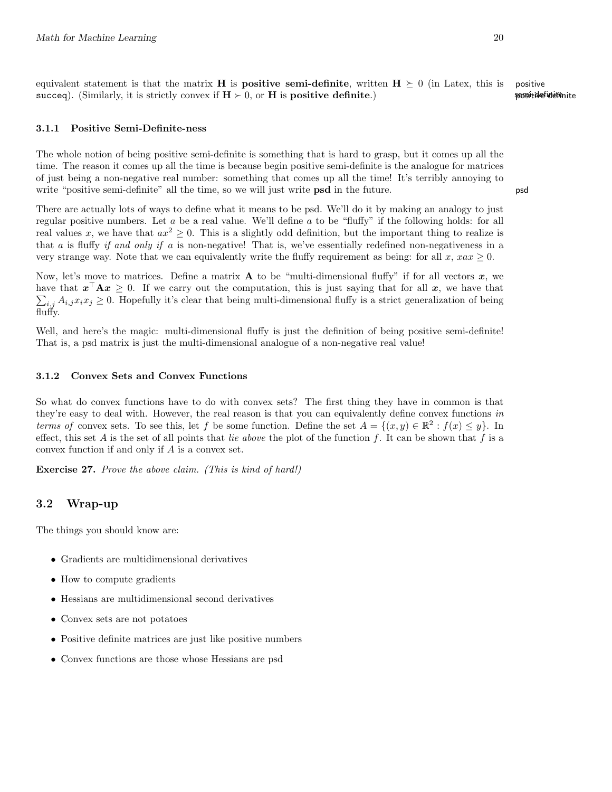equivalent statement is that the matrix **H** is **positive semi-definite**, written  $\mathbf{H} \succeq 0$  (in Latex, this is positive succeq). (Similarly, it is strictly convex if  $H > 0$ , or H is **positive definite**.) **semi-definite properties** 

### 3.1.1 Positive Semi-Definite-ness

The whole notion of being positive semi-definite is something that is hard to grasp, but it comes up all the time. The reason it comes up all the time is because begin positive semi-definite is the analogue for matrices of just being a non-negative real number: something that comes up all the time! It's terribly annoying to write "positive semi-definite" all the time, so we will just write **psd** in the future. psd

There are actually lots of ways to define what it means to be psd. We'll do it by making an analogy to just regular positive numbers. Let a be a real value. We'll define a to be "fluffy" if the following holds: for all real values x, we have that  $ax^2 \ge 0$ . This is a slightly odd definition, but the important thing to realize is that a is fluffy if and only if a is non-negative! That is, we've essentially redefined non-negativeness in a very strange way. Note that we can equivalently write the fluffy requirement as being: for all x,  $xax \ge 0$ .

Now, let's move to matrices. Define a matrix **A** to be "multi-dimensional fluffy" if for all vectors  $x$ , we have that  $x^{\top}Ax \geq 0$ . If we carry out the computation, this is just saying that for all x, we have that  $\sum_{i,j} A_{i,j} x_i x_j \geq 0$ . Hopefully it's clear that being multi-dimensional fluffy is a strict generalization of being fluffy.

Well, and here's the magic: multi-dimensional fluffy is just the definition of being positive semi-definite! That is, a psd matrix is just the multi-dimensional analogue of a non-negative real value!

#### 3.1.2 Convex Sets and Convex Functions

So what do convex functions have to do with convex sets? The first thing they have in common is that they're easy to deal with. However, the real reason is that you can equivalently define convex functions in terms of convex sets. To see this, let f be some function. Define the set  $A = \{(x, y) \in \mathbb{R}^2 : f(x) \le y\}$ . In effect, this set A is the set of all points that lie above the plot of the function f. It can be shown that f is a convex function if and only if A is a convex set.

Exercise 27. Prove the above claim. (This is kind of hard!)

# 3.2 Wrap-up

The things you should know are:

- Gradients are multidimensional derivatives
- How to compute gradients
- Hessians are multidimensional second derivatives
- Convex sets are not potatoes
- Positive definite matrices are just like positive numbers
- Convex functions are those whose Hessians are psd